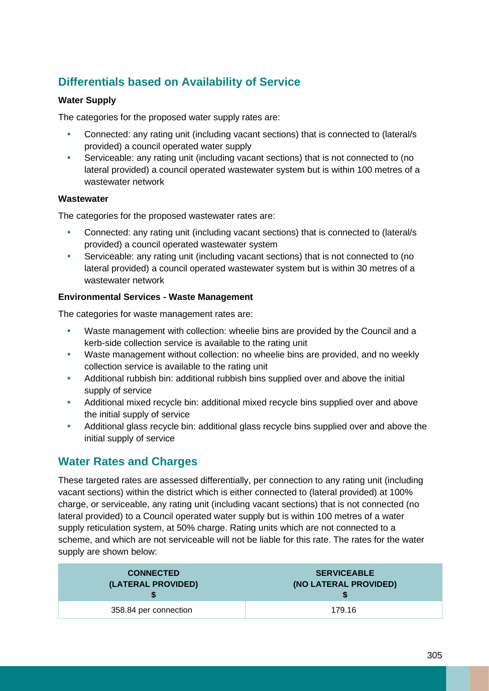## **Differentials based on Availability of Service**

#### **Water Supply**

The categories for the proposed water supply rates are:

- Connected: any rating unit (including vacant sections) that is connected to (lateral/s provided) a council operated water supply
- Serviceable: any rating unit (including vacant sections) that is not connected to (no lateral provided) a council operated wastewater system but is within 100 metres of a wastewater network

#### **Wastewater**

The categories for the proposed wastewater rates are:

- Connected: any rating unit (including vacant sections) that is connected to (lateral/s provided) a council operated wastewater system
- Serviceable: any rating unit (including vacant sections) that is not connected to (no lateral provided) a council operated wastewater system but is within 30 metres of a wastewater network

#### **Environmental Services - Waste Management**

The categories for waste management rates are:

- Waste management with collection: wheelie bins are provided by the Council and a kerb-side collection service is available to the rating unit
- Waste management without collection: no wheelie bins are provided, and no weekly collection service is available to the rating unit
- Additional rubbish bin: additional rubbish bins supplied over and above the initial supply of service
- Additional mixed recycle bin: additional mixed recycle bins supplied over and above the initial supply of service
- Additional glass recycle bin: additional glass recycle bins supplied over and above the initial supply of service

### **Water Rates and Charges**

These targeted rates are assessed differentially, per connection to any rating unit (including vacant sections) within the district which is either connected to (lateral provided) at 100% charge, or serviceable, any rating unit (including vacant sections) that is not connected (no lateral provided) to a Council operated water supply but is within 100 metres of a water supply reticulation system, at 50% charge. Rating units which are not connected to a scheme, and which are not serviceable will not be liable for this rate. The rates for the water supply are shown below:

| <b>CONNECTED</b>      | <b>SERVICEABLE</b>    |
|-----------------------|-----------------------|
| (LATERAL PROVIDED)    | (NO LATERAL PROVIDED) |
| 358.84 per connection | 179.16                |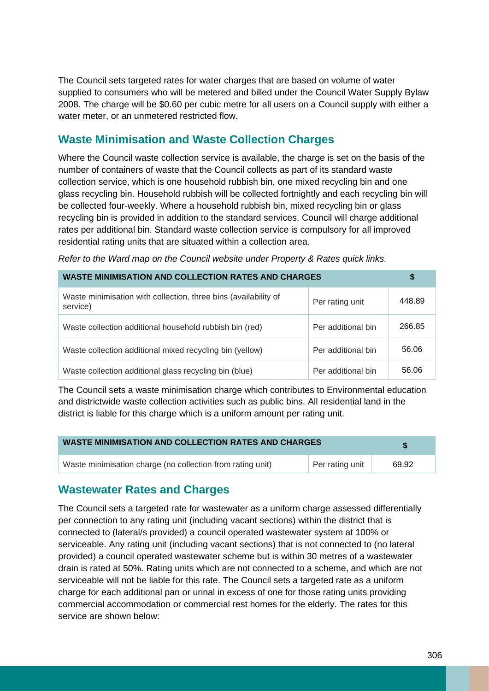The Council sets targeted rates for water charges that are based on volume of water supplied to consumers who will be metered and billed under the Council Water Supply Bylaw 2008. The charge will be \$0.60 per cubic metre for all users on a Council supply with either a water meter, or an unmetered restricted flow.

#### **Waste Minimisation and Waste Collection Charges**

Where the Council waste collection service is available, the charge is set on the basis of the number of containers of waste that the Council collects as part of its standard waste collection service, which is one household rubbish bin, one mixed recycling bin and one glass recycling bin. Household rubbish will be collected fortnightly and each recycling bin will be collected four-weekly. Where a household rubbish bin, mixed recycling bin or glass recycling bin is provided in addition to the standard services, Council will charge additional rates per additional bin. Standard waste collection service is compulsory for all improved residential rating units that are situated within a collection area.

*Refer to the Ward map on the Council website under Property & Rates quick links.*

| <b>WASTE MINIMISATION AND COLLECTION RATES AND CHARGES</b>                  |                    | \$     |
|-----------------------------------------------------------------------------|--------------------|--------|
| Waste minimisation with collection, three bins (availability of<br>service) | Per rating unit    | 448.89 |
| Waste collection additional household rubbish bin (red)                     | Per additional bin | 266.85 |
| Waste collection additional mixed recycling bin (yellow)                    | Per additional bin | 56.06  |
| Waste collection additional glass recycling bin (blue)                      | Per additional bin | 56.06  |

The Council sets a waste minimisation charge which contributes to Environmental education and districtwide waste collection activities such as public bins. All residential land in the district is liable for this charge which is a uniform amount per rating unit.

| <b>WASTE MINIMISATION AND COLLECTION RATES AND CHARGES</b> |                 |       |
|------------------------------------------------------------|-----------------|-------|
| Waste minimisation charge (no collection from rating unit) | Per rating unit | 69.92 |

#### **Wastewater Rates and Charges**

The Council sets a targeted rate for wastewater as a uniform charge assessed differentially per connection to any rating unit (including vacant sections) within the district that is connected to (lateral/s provided) a council operated wastewater system at 100% or serviceable. Any rating unit (including vacant sections) that is not connected to (no lateral provided) a council operated wastewater scheme but is within 30 metres of a wastewater drain is rated at 50%. Rating units which are not connected to a scheme, and which are not serviceable will not be liable for this rate. The Council sets a targeted rate as a uniform charge for each additional pan or urinal in excess of one for those rating units providing commercial accommodation or commercial rest homes for the elderly. The rates for this service are shown below: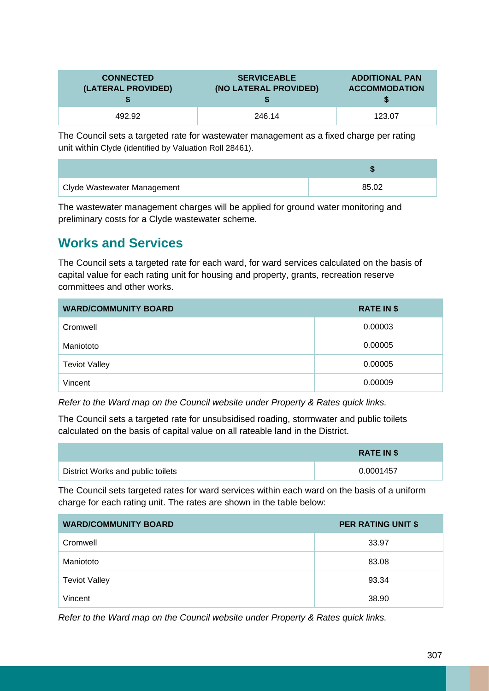| <b>CONNECTED</b>   | <b>SERVICEABLE</b>    | <b>ADDITIONAL PAN</b> |
|--------------------|-----------------------|-----------------------|
| (LATERAL PROVIDED) | (NO LATERAL PROVIDED) | <b>ACCOMMODATION</b>  |
| 492.92             | 246.14                | 123.07                |

The Council sets a targeted rate for wastewater management as a fixed charge per rating unit within Clyde (identified by Valuation Roll 28461).

| Clyde Wastewater Management | 85.02 |
|-----------------------------|-------|

The wastewater management charges will be applied for ground water monitoring and preliminary costs for a Clyde wastewater scheme.

# **Works and Services**

The Council sets a targeted rate for each ward, for ward services calculated on the basis of capital value for each rating unit for housing and property, grants, recreation reserve committees and other works.

| <b>WARD/COMMUNITY BOARD</b> | <b>RATE IN \$</b> |
|-----------------------------|-------------------|
| Cromwell                    | 0.00003           |
| Maniototo                   | 0.00005           |
| <b>Teviot Valley</b>        | 0.00005           |
| Vincent                     | 0.00009           |

*Refer to the Ward map on the Council website under Property & Rates quick links.*

The Council sets a targeted rate for unsubsidised roading, stormwater and public toilets calculated on the basis of capital value on all rateable land in the District.

|                                   | <b>RATE IN \$</b> |
|-----------------------------------|-------------------|
| District Works and public toilets | 0.0001457         |

The Council sets targeted rates for ward services within each ward on the basis of a uniform charge for each rating unit. The rates are shown in the table below:

| <b>WARD/COMMUNITY BOARD</b> | <b>PER RATING UNIT \$</b> |
|-----------------------------|---------------------------|
| Cromwell                    | 33.97                     |
| Maniototo                   | 83.08                     |
| <b>Teviot Valley</b>        | 93.34                     |
| Vincent                     | 38.90                     |

*Refer to the Ward map on the Council website under Property & Rates quick links.*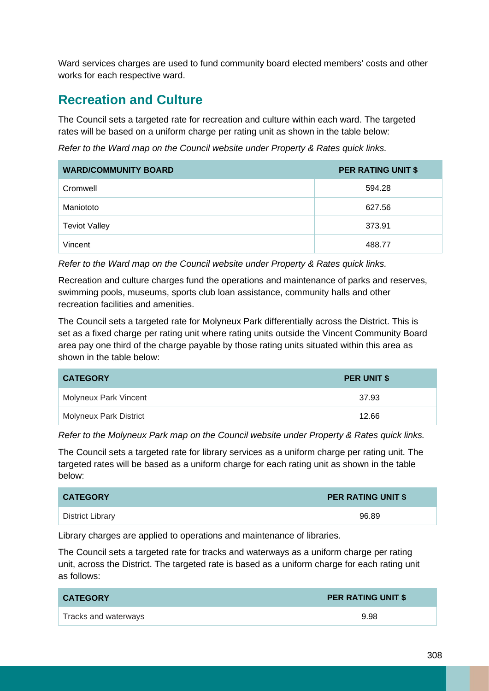Ward services charges are used to fund community board elected members' costs and other works for each respective ward.

# **Recreation and Culture**

The Council sets a targeted rate for recreation and culture within each ward. The targeted rates will be based on a uniform charge per rating unit as shown in the table below:

*Refer to the Ward map on the Council website under Property & Rates quick links.*

| <b>WARD/COMMUNITY BOARD</b> | <b>PER RATING UNIT \$</b> |
|-----------------------------|---------------------------|
| Cromwell                    | 594.28                    |
| Maniototo                   | 627.56                    |
| <b>Teviot Valley</b>        | 373.91                    |
| Vincent                     | 488.77                    |

*Refer to the Ward map on the Council website under Property & Rates quick links.*

Recreation and culture charges fund the operations and maintenance of parks and reserves, swimming pools, museums, sports club loan assistance, community halls and other recreation facilities and amenities.

The Council sets a targeted rate for Molyneux Park differentially across the District. This is set as a fixed charge per rating unit where rating units outside the Vincent Community Board area pay one third of the charge payable by those rating units situated within this area as shown in the table below:

| <b>CATEGORY</b>        | <b>PER UNIT \$</b> |
|------------------------|--------------------|
| Molyneux Park Vincent  | 37.93              |
| Molyneux Park District | 12.66              |

*Refer to the Molyneux Park map on the Council website under Property & Rates quick links.*

The Council sets a targeted rate for library services as a uniform charge per rating unit. The targeted rates will be based as a uniform charge for each rating unit as shown in the table below:

| <b>CATEGORY</b>  | <b>PER RATING UNIT \$</b> |
|------------------|---------------------------|
| District Library | 96.89                     |

Library charges are applied to operations and maintenance of libraries.

The Council sets a targeted rate for tracks and waterways as a uniform charge per rating unit, across the District. The targeted rate is based as a uniform charge for each rating unit as follows:

| <b>CATEGORY</b>      | <b>PER RATING UNIT \$</b> |
|----------------------|---------------------------|
| Tracks and waterways | 9.98                      |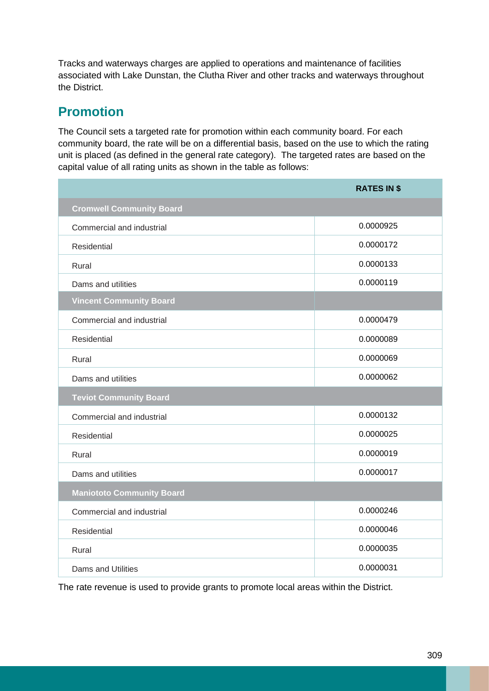Tracks and waterways charges are applied to operations and maintenance of facilities associated with Lake Dunstan, the Clutha River and other tracks and waterways throughout the District.

# **Promotion**

The Council sets a targeted rate for promotion within each community board. For each community board, the rate will be on a differential basis, based on the use to which the rating unit is placed (as defined in the general rate category). The targeted rates are based on the capital value of all rating units as shown in the table as follows:

|                                  | <b>RATES IN \$</b> |
|----------------------------------|--------------------|
| <b>Cromwell Community Board</b>  |                    |
| Commercial and industrial        | 0.0000925          |
| Residential                      | 0.0000172          |
| Rural                            | 0.0000133          |
| Dams and utilities               | 0.0000119          |
| <b>Vincent Community Board</b>   |                    |
| Commercial and industrial        | 0.0000479          |
| Residential                      | 0.0000089          |
| Rural                            | 0.0000069          |
| Dams and utilities               | 0.0000062          |
| <b>Teviot Community Board</b>    |                    |
| Commercial and industrial        | 0.0000132          |
| <b>Residential</b>               | 0.0000025          |
| Rural                            | 0.0000019          |
| Dams and utilities               | 0.0000017          |
| <b>Maniototo Community Board</b> |                    |
| Commercial and industrial        | 0.0000246          |
| Residential                      | 0.0000046          |
| Rural                            | 0.0000035          |
| Dams and Utilities               | 0.0000031          |

The rate revenue is used to provide grants to promote local areas within the District.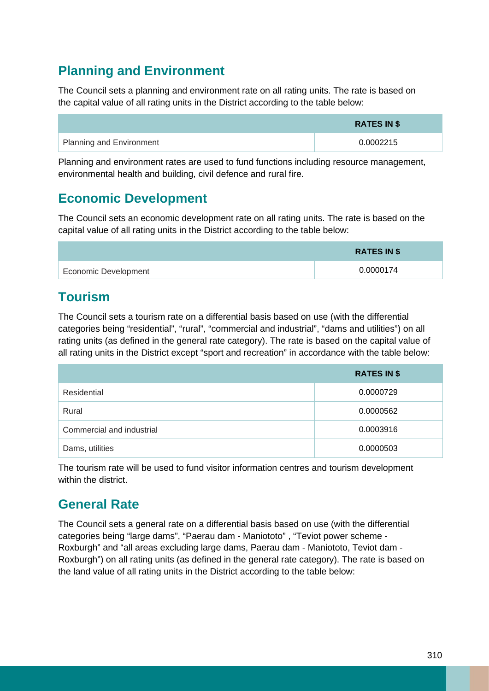# **Planning and Environment**

The Council sets a planning and environment rate on all rating units. The rate is based on the capital value of all rating units in the District according to the table below:

|                                 | <b>RATES IN \$</b> |
|---------------------------------|--------------------|
| <b>Planning and Environment</b> | 0.0002215          |

Planning and environment rates are used to fund functions including resource management, environmental health and building, civil defence and rural fire.

# **Economic Development**

The Council sets an economic development rate on all rating units. The rate is based on the capital value of all rating units in the District according to the table below:

|                             | <b>RATES IN \$</b> |
|-----------------------------|--------------------|
| <b>Economic Development</b> | 0.0000174          |

# **Tourism**

The Council sets a tourism rate on a differential basis based on use (with the differential categories being "residential", "rural", "commercial and industrial", "dams and utilities") on all rating units (as defined in the general rate category). The rate is based on the capital value of all rating units in the District except "sport and recreation" in accordance with the table below:

|                           | <b>RATES IN \$</b> |
|---------------------------|--------------------|
| Residential               | 0.0000729          |
| Rural                     | 0.0000562          |
| Commercial and industrial | 0.0003916          |
| Dams, utilities           | 0.0000503          |

The tourism rate will be used to fund visitor information centres and tourism development within the district.

# **General Rate**

The Council sets a general rate on a differential basis based on use (with the differential categories being "large dams", "Paerau dam - Maniototo" , "Teviot power scheme - Roxburgh" and "all areas excluding large dams, Paerau dam - Maniototo, Teviot dam - Roxburgh") on all rating units (as defined in the general rate category). The rate is based on the land value of all rating units in the District according to the table below: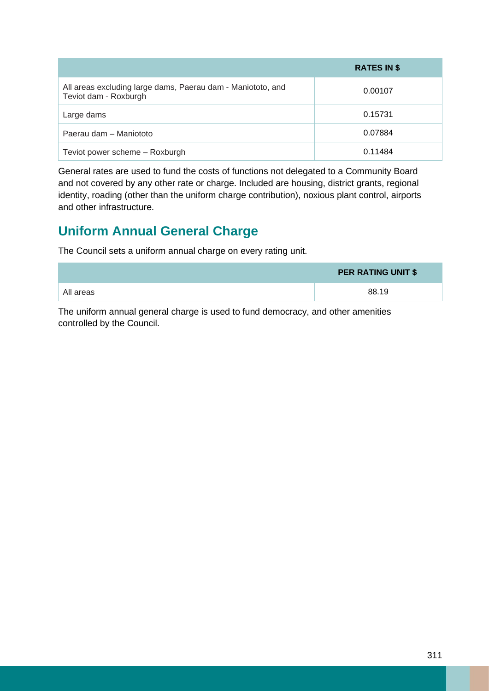|                                                                                      | <b>RATES IN \$</b> |
|--------------------------------------------------------------------------------------|--------------------|
| All areas excluding large dams, Paerau dam - Maniototo, and<br>Teviot dam - Roxburgh | 0.00107            |
| Large dams                                                                           | 0.15731            |
| Paerau dam - Maniototo                                                               | 0.07884            |
| Teviot power scheme - Roxburgh                                                       | 0.11484            |

General rates are used to fund the costs of functions not delegated to a Community Board and not covered by any other rate or charge. Included are housing, district grants, regional identity, roading (other than the uniform charge contribution), noxious plant control, airports and other infrastructure.

# **Uniform Annual General Charge**

The Council sets a uniform annual charge on every rating unit.

|           | <b>PER RATING UNIT \$</b> |
|-----------|---------------------------|
| All areas | 88.19                     |

The uniform annual general charge is used to fund democracy, and other amenities controlled by the Council.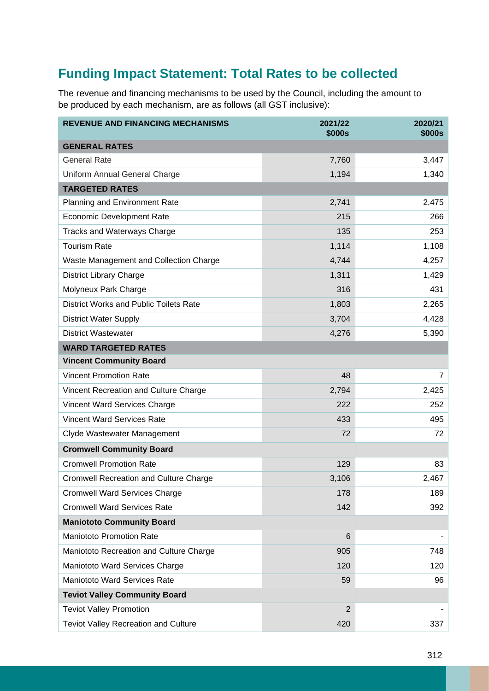# **Funding Impact Statement: Total Rates to be collected**

The revenue and financing mechanisms to be used by the Council, including the amount to be produced by each mechanism, are as follows (all GST inclusive):

| <b>REVENUE AND FINANCING MECHANISMS</b>       | 2021/22<br><b>\$000s</b> | 2020/21<br><b>\$000s</b> |  |  |
|-----------------------------------------------|--------------------------|--------------------------|--|--|
| <b>GENERAL RATES</b>                          |                          |                          |  |  |
| <b>General Rate</b>                           | 7,760                    | 3,447                    |  |  |
| Uniform Annual General Charge                 | 1,194                    | 1,340                    |  |  |
| <b>TARGETED RATES</b>                         |                          |                          |  |  |
| Planning and Environment Rate                 | 2,741                    | 2,475                    |  |  |
| <b>Economic Development Rate</b>              | 215                      | 266                      |  |  |
| <b>Tracks and Waterways Charge</b>            | 135                      | 253                      |  |  |
| <b>Tourism Rate</b>                           | 1,114                    | 1,108                    |  |  |
| Waste Management and Collection Charge        | 4,744                    | 4,257                    |  |  |
| <b>District Library Charge</b>                | 1,311                    | 1,429                    |  |  |
| Molyneux Park Charge                          | 316                      | 431                      |  |  |
| <b>District Works and Public Toilets Rate</b> | 1,803                    | 2,265                    |  |  |
| <b>District Water Supply</b>                  | 3,704                    | 4,428                    |  |  |
| <b>District Wastewater</b>                    | 4,276                    | 5,390                    |  |  |
| <b>WARD TARGETED RATES</b>                    |                          |                          |  |  |
| <b>Vincent Community Board</b>                |                          |                          |  |  |
| <b>Vincent Promotion Rate</b>                 | 48                       | $\overline{7}$           |  |  |
| Vincent Recreation and Culture Charge         | 2,794                    | 2,425                    |  |  |
| Vincent Ward Services Charge                  | 222                      | 252                      |  |  |
| <b>Vincent Ward Services Rate</b>             | 433                      | 495                      |  |  |
| Clyde Wastewater Management                   | 72                       | 72                       |  |  |
| <b>Cromwell Community Board</b>               |                          |                          |  |  |
| <b>Cromwell Promotion Rate</b>                | 129                      | 83                       |  |  |
| <b>Cromwell Recreation and Culture Charge</b> | 3,106                    | 2,467                    |  |  |
| <b>Cromwell Ward Services Charge</b>          | 178                      | 189                      |  |  |
| <b>Cromwell Ward Services Rate</b>            | 142                      | 392                      |  |  |
| <b>Maniototo Community Board</b>              |                          |                          |  |  |
| <b>Maniototo Promotion Rate</b>               | 6                        |                          |  |  |
| Maniototo Recreation and Culture Charge       | 905                      | 748                      |  |  |
| Maniototo Ward Services Charge                | 120                      | 120                      |  |  |
| Maniototo Ward Services Rate                  | 59                       | 96                       |  |  |
| <b>Teviot Valley Community Board</b>          |                          |                          |  |  |
| <b>Teviot Valley Promotion</b>                | 2                        |                          |  |  |
| Teviot Valley Recreation and Culture          | 420                      | 337                      |  |  |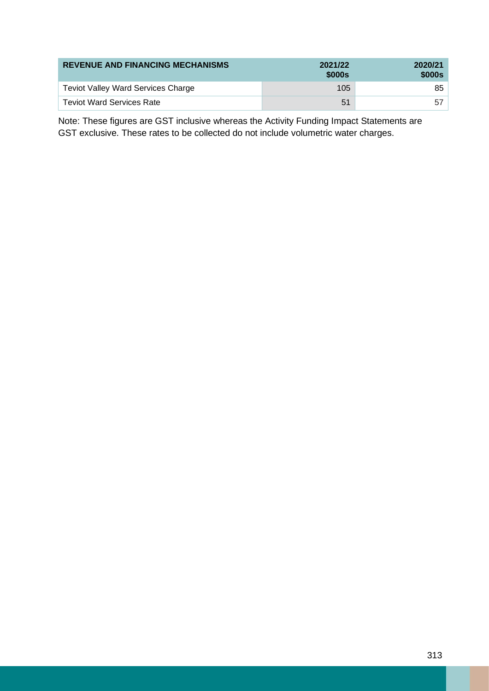| <b>REVENUE AND FINANCING MECHANISMS</b>   | 2021/22<br>\$000s | 2020/21<br>\$000s |  |
|-------------------------------------------|-------------------|-------------------|--|
| <b>Teviot Valley Ward Services Charge</b> | 105               | 85                |  |
| <b>Teviot Ward Services Rate</b>          | 51                | -57               |  |

Note: These figures are GST inclusive whereas the Activity Funding Impact Statements are GST exclusive. These rates to be collected do not include volumetric water charges.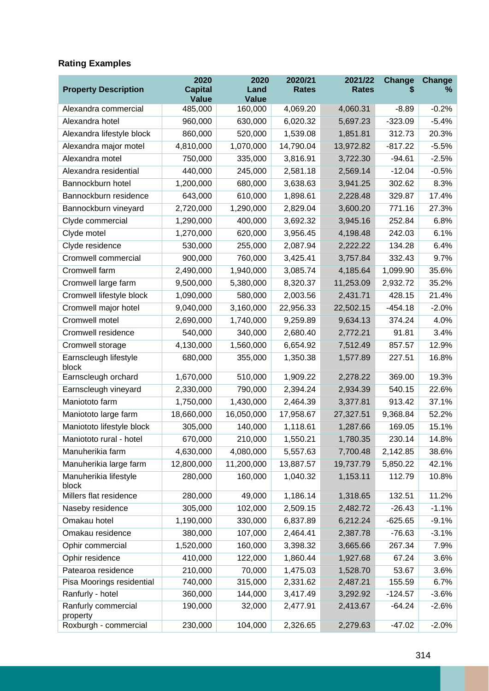### **Rating Examples**

| <b>Property Description</b>     | 2020<br><b>Capital</b><br><b>Value</b> | 2020<br>Land<br><b>Value</b> | 2020/21<br><b>Rates</b> | 2021/22<br><b>Rates</b> | Change<br>S | <b>Change</b><br>℅ |
|---------------------------------|----------------------------------------|------------------------------|-------------------------|-------------------------|-------------|--------------------|
| Alexandra commercial            | 485,000                                | 160,000                      | 4,069.20                | 4,060.31                | $-8.89$     | $-0.2%$            |
| Alexandra hotel                 | 960,000                                | 630,000                      | 6,020.32                | 5,697.23                | $-323.09$   | $-5.4%$            |
| Alexandra lifestyle block       | 860,000                                | 520,000                      | 1,539.08                | 1,851.81                | 312.73      | 20.3%              |
| Alexandra major motel           | 4,810,000                              | 1,070,000                    | 14,790.04               | 13,972.82               | $-817.22$   | $-5.5%$            |
| Alexandra motel                 | 750,000                                | 335,000                      | 3,816.91                | 3,722.30                | $-94.61$    | $-2.5%$            |
| Alexandra residential           | 440,000                                | 245,000                      | 2,581.18                | 2,569.14                | $-12.04$    | $-0.5%$            |
| Bannockburn hotel               | 1,200,000                              | 680,000                      | 3,638.63                | 3,941.25                | 302.62      | 8.3%               |
| Bannockburn residence           | 643,000                                | 610,000                      | 1,898.61                | 2,228.48                | 329.87      | 17.4%              |
| Bannockburn vineyard            | 2,720,000                              | 1,290,000                    | 2,829.04                | 3,600.20                | 771.16      | 27.3%              |
| Clyde commercial                | 1,290,000                              | 400,000                      | 3,692.32                | 3,945.16                | 252.84      | 6.8%               |
| Clyde motel                     | 1,270,000                              | 620,000                      | 3,956.45                | 4,198.48                | 242.03      | 6.1%               |
| Clyde residence                 | 530,000                                | 255,000                      | 2,087.94                | 2,222.22                | 134.28      | 6.4%               |
| Cromwell commercial             | 900,000                                | 760,000                      | 3,425.41                | 3,757.84                | 332.43      | 9.7%               |
| Cromwell farm                   | 2,490,000                              | 1,940,000                    | 3,085.74                | 4,185.64                | 1,099.90    | 35.6%              |
| Cromwell large farm             | 9,500,000                              | 5,380,000                    | 8,320.37                | 11,253.09               | 2,932.72    | 35.2%              |
| Cromwell lifestyle block        | 1,090,000                              | 580,000                      | 2,003.56                | 2,431.71                | 428.15      | 21.4%              |
| Cromwell major hotel            | 9,040,000                              | 3,160,000                    | 22,956.33               | 22,502.15               | $-454.18$   | $-2.0%$            |
| Cromwell motel                  | 2,690,000                              | 1,740,000                    | 9,259.89                | 9,634.13                | 374.24      | 4.0%               |
| Cromwell residence              | 540,000                                | 340,000                      | 2,680.40                | 2,772.21                | 91.81       | 3.4%               |
| Cromwell storage                | 4,130,000                              | 1,560,000                    | 6,654.92                | 7,512.49                | 857.57      | 12.9%              |
| Earnscleugh lifestyle<br>block  | 680,000                                | 355,000                      | 1,350.38                | 1,577.89                | 227.51      | 16.8%              |
| Earnscleugh orchard             | 1,670,000                              | 510,000                      | 1,909.22                | 2,278.22                | 369.00      | 19.3%              |
| Earnscleugh vineyard            | 2,330,000                              | 790,000                      | 2,394.24                | 2,934.39                | 540.15      | 22.6%              |
| Maniototo farm                  | 1,750,000                              | 1,430,000                    | 2,464.39                | 3,377.81                | 913.42      | 37.1%              |
| Maniototo large farm            | 18,660,000                             | 16,050,000                   | 17,958.67               | 27,327.51               | 9,368.84    | 52.2%              |
| Maniototo lifestyle block       | 305,000                                | 140,000                      | 1,118.61                | 1,287.66                | 169.05      | 15.1%              |
| Maniototo rural - hotel         | 670,000                                | 210,000                      | 1,550.21                | 1,780.35                | 230.14      | 14.8%              |
| Manuherikia farm                | 4,630,000                              | 4,080,000                    | 5,557.63                | 7,700.48                | 2,142.85    | 38.6%              |
| Manuherikia large farm          | 12,800,000                             | 11,200,000                   | 13,887.57               | 19,737.79               | 5,850.22    | 42.1%              |
| Manuherikia lifestyle<br>block  | 280,000                                | 160,000                      | 1,040.32                | 1,153.11                | 112.79      | 10.8%              |
| Millers flat residence          | 280,000                                | 49,000                       | 1,186.14                | 1,318.65                | 132.51      | 11.2%              |
| Naseby residence                | 305,000                                | 102,000                      | 2,509.15                | 2,482.72                | $-26.43$    | $-1.1%$            |
| Omakau hotel                    | 1,190,000                              | 330,000                      | 6,837.89                | 6,212.24                | $-625.65$   | $-9.1%$            |
| Omakau residence                | 380,000                                | 107,000                      | 2,464.41                | 2,387.78                | $-76.63$    | $-3.1%$            |
| Ophir commercial                | 1,520,000                              | 160,000                      | 3,398.32                | 3,665.66                | 267.34      | 7.9%               |
| Ophir residence                 | 410,000                                | 122,000                      | 1,860.44                | 1,927.68                | 67.24       | 3.6%               |
| Patearoa residence              | 210,000                                | 70,000                       | 1,475.03                | 1,528.70                | 53.67       | 3.6%               |
| Pisa Moorings residential       | 740,000                                | 315,000                      | 2,331.62                | 2,487.21                | 155.59      | 6.7%               |
| Ranfurly - hotel                | 360,000                                | 144,000                      | 3,417.49                | 3,292.92                | $-124.57$   | $-3.6%$            |
| Ranfurly commercial<br>property | 190,000                                | 32,000                       | 2,477.91                | 2,413.67                | $-64.24$    | $-2.6%$            |
| Roxburgh - commercial           | 230,000                                | 104,000                      | 2,326.65                | 2,279.63                | $-47.02$    | $-2.0%$            |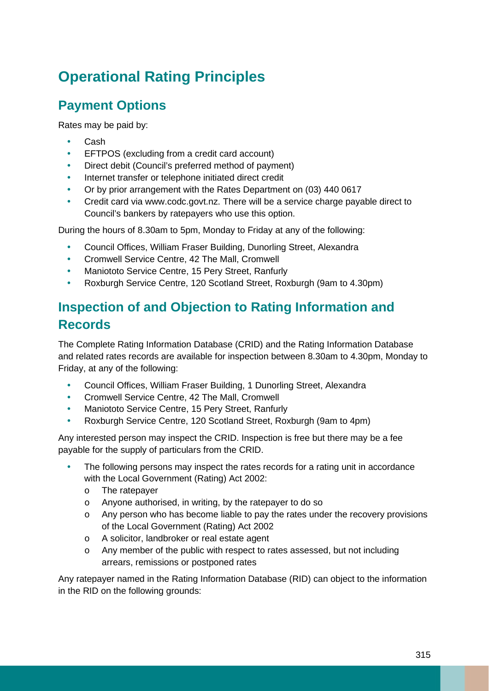# **Operational Rating Principles**

# **Payment Options**

Rates may be paid by:

- Cash
- EFTPOS (excluding from a credit card account)
- Direct debit (Council's preferred method of payment)
- Internet transfer or telephone initiated direct credit
- Or by prior arrangement with the Rates Department on (03) 440 0617
- Credit card via www.codc.govt.nz. There will be a service charge payable direct to Council's bankers by ratepayers who use this option.

During the hours of 8.30am to 5pm, Monday to Friday at any of the following:

- Council Offices, William Fraser Building, Dunorling Street, Alexandra
- Cromwell Service Centre, 42 The Mall, Cromwell
- Maniototo Service Centre, 15 Pery Street, Ranfurly
- Roxburgh Service Centre, 120 Scotland Street, Roxburgh (9am to 4.30pm)

# **Inspection of and Objection to Rating Information and Records**

The Complete Rating Information Database (CRID) and the Rating Information Database and related rates records are available for inspection between 8.30am to 4.30pm, Monday to Friday, at any of the following:

- Council Offices, William Fraser Building, 1 Dunorling Street, Alexandra
- Cromwell Service Centre, 42 The Mall, Cromwell
- Maniototo Service Centre, 15 Pery Street, Ranfurly
- Roxburgh Service Centre, 120 Scotland Street, Roxburgh (9am to 4pm)

Any interested person may inspect the CRID. Inspection is free but there may be a fee payable for the supply of particulars from the CRID.

- The following persons may inspect the rates records for a rating unit in accordance with the Local Government (Rating) Act 2002:
	- o The ratepayer
	- o Anyone authorised, in writing, by the ratepayer to do so
	- o Any person who has become liable to pay the rates under the recovery provisions of the Local Government (Rating) Act 2002
	- o A solicitor, landbroker or real estate agent
	- o Any member of the public with respect to rates assessed, but not including arrears, remissions or postponed rates

Any ratepayer named in the Rating Information Database (RID) can object to the information in the RID on the following grounds: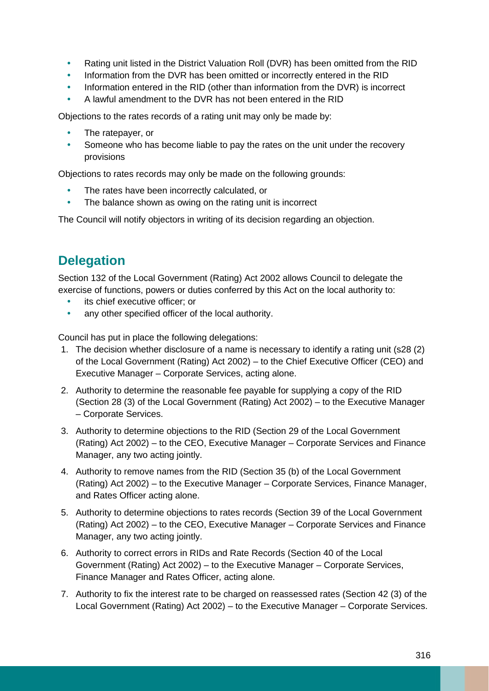- Rating unit listed in the District Valuation Roll (DVR) has been omitted from the RID
- Information from the DVR has been omitted or incorrectly entered in the RID
- Information entered in the RID (other than information from the DVR) is incorrect
- A lawful amendment to the DVR has not been entered in the RID

Objections to the rates records of a rating unit may only be made by:

- The ratepayer, or
- Someone who has become liable to pay the rates on the unit under the recovery provisions

Objections to rates records may only be made on the following grounds:

- The rates have been incorrectly calculated, or
- The balance shown as owing on the rating unit is incorrect

The Council will notify objectors in writing of its decision regarding an objection.

# **Delegation**

Section 132 of the Local Government (Rating) Act 2002 allows Council to delegate the exercise of functions, powers or duties conferred by this Act on the local authority to:

- its chief executive officer; or
- any other specified officer of the local authority.

Council has put in place the following delegations:

- 1. The decision whether disclosure of a name is necessary to identify a rating unit (s28 (2) of the Local Government (Rating) Act 2002) – to the Chief Executive Officer (CEO) and Executive Manager – Corporate Services, acting alone.
- 2. Authority to determine the reasonable fee payable for supplying a copy of the RID (Section 28 (3) of the Local Government (Rating) Act 2002) – to the Executive Manager – Corporate Services.
- 3. Authority to determine objections to the RID (Section 29 of the Local Government (Rating) Act 2002) – to the CEO, Executive Manager – Corporate Services and Finance Manager, any two acting jointly.
- 4. Authority to remove names from the RID (Section 35 (b) of the Local Government (Rating) Act 2002) – to the Executive Manager – Corporate Services, Finance Manager, and Rates Officer acting alone.
- 5. Authority to determine objections to rates records (Section 39 of the Local Government (Rating) Act 2002) – to the CEO, Executive Manager – Corporate Services and Finance Manager, any two acting jointly.
- 6. Authority to correct errors in RIDs and Rate Records (Section 40 of the Local Government (Rating) Act 2002) – to the Executive Manager – Corporate Services, Finance Manager and Rates Officer, acting alone.
- 7. Authority to fix the interest rate to be charged on reassessed rates (Section 42 (3) of the Local Government (Rating) Act 2002) – to the Executive Manager – Corporate Services.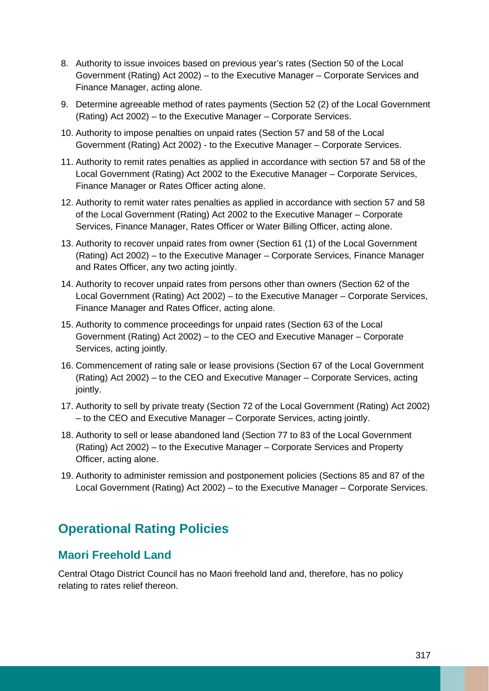- 8. Authority to issue invoices based on previous year's rates (Section 50 of the Local Government (Rating) Act 2002) – to the Executive Manager – Corporate Services and Finance Manager, acting alone.
- 9. Determine agreeable method of rates payments (Section 52 (2) of the Local Government (Rating) Act 2002) – to the Executive Manager – Corporate Services.
- 10. Authority to impose penalties on unpaid rates (Section 57 and 58 of the Local Government (Rating) Act 2002) - to the Executive Manager – Corporate Services.
- 11. Authority to remit rates penalties as applied in accordance with section 57 and 58 of the Local Government (Rating) Act 2002 to the Executive Manager – Corporate Services, Finance Manager or Rates Officer acting alone.
- 12. Authority to remit water rates penalties as applied in accordance with section 57 and 58 of the Local Government (Rating) Act 2002 to the Executive Manager – Corporate Services, Finance Manager, Rates Officer or Water Billing Officer, acting alone.
- 13. Authority to recover unpaid rates from owner (Section 61 (1) of the Local Government (Rating) Act 2002) – to the Executive Manager – Corporate Services, Finance Manager and Rates Officer, any two acting jointly.
- 14. Authority to recover unpaid rates from persons other than owners (Section 62 of the Local Government (Rating) Act 2002) – to the Executive Manager – Corporate Services, Finance Manager and Rates Officer, acting alone.
- 15. Authority to commence proceedings for unpaid rates (Section 63 of the Local Government (Rating) Act 2002) – to the CEO and Executive Manager – Corporate Services, acting jointly.
- 16. Commencement of rating sale or lease provisions (Section 67 of the Local Government (Rating) Act 2002) – to the CEO and Executive Manager – Corporate Services, acting jointly.
- 17. Authority to sell by private treaty (Section 72 of the Local Government (Rating) Act 2002) – to the CEO and Executive Manager – Corporate Services, acting jointly.
- 18. Authority to sell or lease abandoned land (Section 77 to 83 of the Local Government (Rating) Act 2002) – to the Executive Manager – Corporate Services and Property Officer, acting alone.
- 19. Authority to administer remission and postponement policies (Sections 85 and 87 of the Local Government (Rating) Act 2002) – to the Executive Manager – Corporate Services.

# **Operational Rating Policies**

#### **Maori Freehold Land**

Central Otago District Council has no Maori freehold land and, therefore, has no policy relating to rates relief thereon.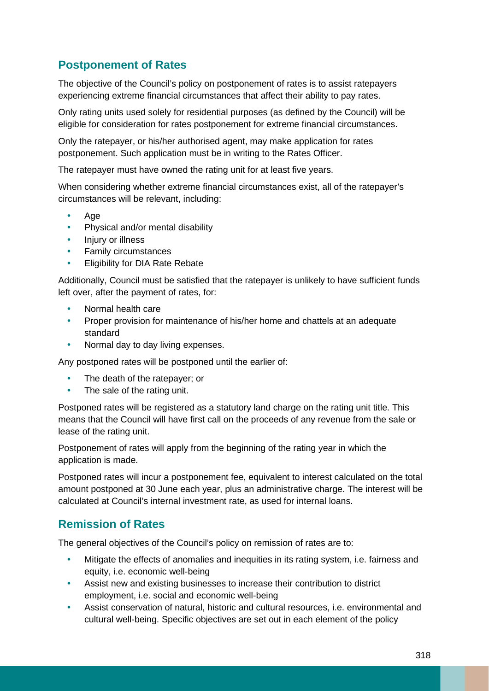### **Postponement of Rates**

The objective of the Council's policy on postponement of rates is to assist ratepayers experiencing extreme financial circumstances that affect their ability to pay rates.

Only rating units used solely for residential purposes (as defined by the Council) will be eligible for consideration for rates postponement for extreme financial circumstances.

Only the ratepayer, or his/her authorised agent, may make application for rates postponement. Such application must be in writing to the Rates Officer.

The ratepayer must have owned the rating unit for at least five years.

When considering whether extreme financial circumstances exist, all of the ratepayer's circumstances will be relevant, including:

- Age
- Physical and/or mental disability
- Injury or illness
- Family circumstances
- Eligibility for DIA Rate Rebate

Additionally, Council must be satisfied that the ratepayer is unlikely to have sufficient funds left over, after the payment of rates, for:

- Normal health care
- Proper provision for maintenance of his/her home and chattels at an adequate standard
- Normal day to day living expenses.

Any postponed rates will be postponed until the earlier of:

- The death of the ratepayer; or
- The sale of the rating unit.

Postponed rates will be registered as a statutory land charge on the rating unit title. This means that the Council will have first call on the proceeds of any revenue from the sale or lease of the rating unit.

Postponement of rates will apply from the beginning of the rating year in which the application is made.

Postponed rates will incur a postponement fee, equivalent to interest calculated on the total amount postponed at 30 June each year, plus an administrative charge. The interest will be calculated at Council's internal investment rate, as used for internal loans.

#### **Remission of Rates**

The general objectives of the Council's policy on remission of rates are to:

- Mitigate the effects of anomalies and inequities in its rating system, i.e. fairness and equity, i.e. economic well-being
- Assist new and existing businesses to increase their contribution to district employment, i.e. social and economic well-being
- Assist conservation of natural, historic and cultural resources, i.e. environmental and cultural well-being. Specific objectives are set out in each element of the policy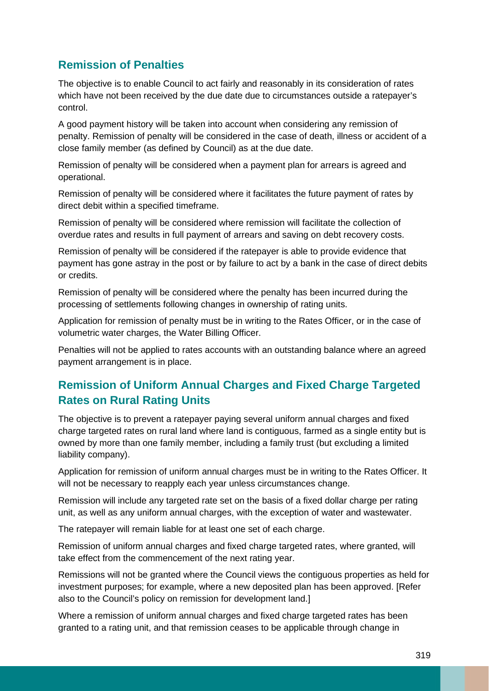### **Remission of Penalties**

The objective is to enable Council to act fairly and reasonably in its consideration of rates which have not been received by the due date due to circumstances outside a ratepayer's control.

A good payment history will be taken into account when considering any remission of penalty. Remission of penalty will be considered in the case of death, illness or accident of a close family member (as defined by Council) as at the due date.

Remission of penalty will be considered when a payment plan for arrears is agreed and operational.

Remission of penalty will be considered where it facilitates the future payment of rates by direct debit within a specified timeframe.

Remission of penalty will be considered where remission will facilitate the collection of overdue rates and results in full payment of arrears and saving on debt recovery costs.

Remission of penalty will be considered if the ratepayer is able to provide evidence that payment has gone astray in the post or by failure to act by a bank in the case of direct debits or credits.

Remission of penalty will be considered where the penalty has been incurred during the processing of settlements following changes in ownership of rating units.

Application for remission of penalty must be in writing to the Rates Officer, or in the case of volumetric water charges, the Water Billing Officer.

Penalties will not be applied to rates accounts with an outstanding balance where an agreed payment arrangement is in place.

### **Remission of Uniform Annual Charges and Fixed Charge Targeted Rates on Rural Rating Units**

The objective is to prevent a ratepayer paying several uniform annual charges and fixed charge targeted rates on rural land where land is contiguous, farmed as a single entity but is owned by more than one family member, including a family trust (but excluding a limited liability company).

Application for remission of uniform annual charges must be in writing to the Rates Officer. It will not be necessary to reapply each year unless circumstances change.

Remission will include any targeted rate set on the basis of a fixed dollar charge per rating unit, as well as any uniform annual charges, with the exception of water and wastewater.

The ratepayer will remain liable for at least one set of each charge.

Remission of uniform annual charges and fixed charge targeted rates, where granted, will take effect from the commencement of the next rating year.

Remissions will not be granted where the Council views the contiguous properties as held for investment purposes; for example, where a new deposited plan has been approved. [Refer also to the Council's policy on remission for development land.]

Where a remission of uniform annual charges and fixed charge targeted rates has been granted to a rating unit, and that remission ceases to be applicable through change in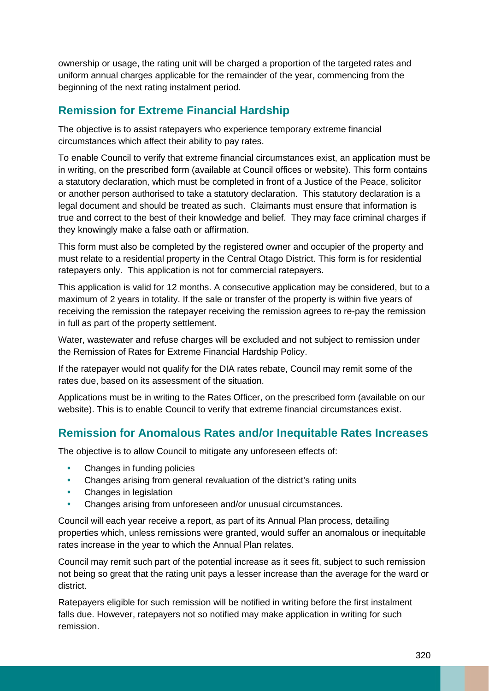ownership or usage, the rating unit will be charged a proportion of the targeted rates and uniform annual charges applicable for the remainder of the year, commencing from the beginning of the next rating instalment period.

### **Remission for Extreme Financial Hardship**

The objective is to assist ratepayers who experience temporary extreme financial circumstances which affect their ability to pay rates.

To enable Council to verify that extreme financial circumstances exist, an application must be in writing, on the prescribed form (available at Council offices or website). This form contains a statutory declaration, which must be completed in front of a Justice of the Peace, solicitor or another person authorised to take a statutory declaration. This statutory declaration is a legal document and should be treated as such. Claimants must ensure that information is true and correct to the best of their knowledge and belief. They may face criminal charges if they knowingly make a false oath or affirmation.

This form must also be completed by the registered owner and occupier of the property and must relate to a residential property in the Central Otago District. This form is for residential ratepayers only. This application is not for commercial ratepayers.

This application is valid for 12 months. A consecutive application may be considered, but to a maximum of 2 years in totality. If the sale or transfer of the property is within five years of receiving the remission the ratepayer receiving the remission agrees to re-pay the remission in full as part of the property settlement.

Water, wastewater and refuse charges will be excluded and not subject to remission under the Remission of Rates for Extreme Financial Hardship Policy.

If the ratepayer would not qualify for the DIA rates rebate, Council may remit some of the rates due, based on its assessment of the situation.

Applications must be in writing to the Rates Officer, on the prescribed form (available on our website). This is to enable Council to verify that extreme financial circumstances exist.

### **Remission for Anomalous Rates and/or Inequitable Rates Increases**

The objective is to allow Council to mitigate any unforeseen effects of:

- Changes in funding policies
- Changes arising from general revaluation of the district's rating units
- Changes in legislation
- Changes arising from unforeseen and/or unusual circumstances.

Council will each year receive a report, as part of its Annual Plan process, detailing properties which, unless remissions were granted, would suffer an anomalous or inequitable rates increase in the year to which the Annual Plan relates.

Council may remit such part of the potential increase as it sees fit, subject to such remission not being so great that the rating unit pays a lesser increase than the average for the ward or district.

Ratepayers eligible for such remission will be notified in writing before the first instalment falls due. However, ratepayers not so notified may make application in writing for such remission.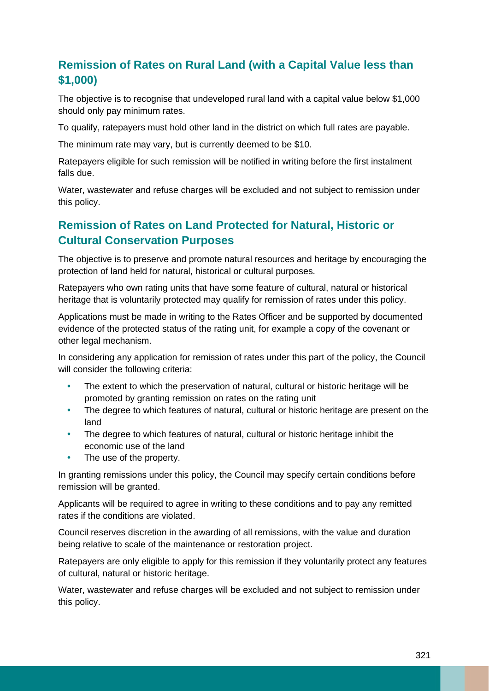## **Remission of Rates on Rural Land (with a Capital Value less than \$1,000)**

The objective is to recognise that undeveloped rural land with a capital value below \$1,000 should only pay minimum rates.

To qualify, ratepayers must hold other land in the district on which full rates are payable.

The minimum rate may vary, but is currently deemed to be \$10.

Ratepayers eligible for such remission will be notified in writing before the first instalment falls due.

Water, wastewater and refuse charges will be excluded and not subject to remission under this policy.

### **Remission of Rates on Land Protected for Natural, Historic or Cultural Conservation Purposes**

The objective is to preserve and promote natural resources and heritage by encouraging the protection of land held for natural, historical or cultural purposes.

Ratepayers who own rating units that have some feature of cultural, natural or historical heritage that is voluntarily protected may qualify for remission of rates under this policy.

Applications must be made in writing to the Rates Officer and be supported by documented evidence of the protected status of the rating unit, for example a copy of the covenant or other legal mechanism.

In considering any application for remission of rates under this part of the policy, the Council will consider the following criteria:

- The extent to which the preservation of natural, cultural or historic heritage will be promoted by granting remission on rates on the rating unit
- The degree to which features of natural, cultural or historic heritage are present on the land
- The degree to which features of natural, cultural or historic heritage inhibit the economic use of the land
- The use of the property.

In granting remissions under this policy, the Council may specify certain conditions before remission will be granted.

Applicants will be required to agree in writing to these conditions and to pay any remitted rates if the conditions are violated.

Council reserves discretion in the awarding of all remissions, with the value and duration being relative to scale of the maintenance or restoration project.

Ratepayers are only eligible to apply for this remission if they voluntarily protect any features of cultural, natural or historic heritage.

Water, wastewater and refuse charges will be excluded and not subject to remission under this policy.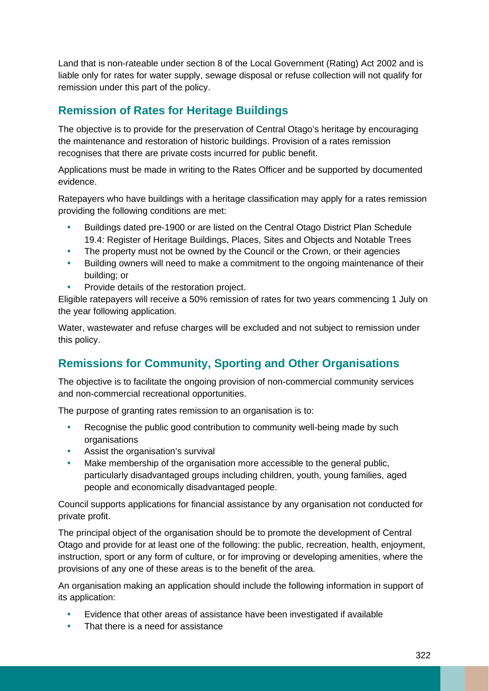Land that is non-rateable under section 8 of the Local Government (Rating) Act 2002 and is liable only for rates for water supply, sewage disposal or refuse collection will not qualify for remission under this part of the policy.

### **Remission of Rates for Heritage Buildings**

The objective is to provide for the preservation of Central Otago's heritage by encouraging the maintenance and restoration of historic buildings. Provision of a rates remission recognises that there are private costs incurred for public benefit.

Applications must be made in writing to the Rates Officer and be supported by documented evidence.

Ratepayers who have buildings with a heritage classification may apply for a rates remission providing the following conditions are met:

- Buildings dated pre-1900 or are listed on the Central Otago District Plan Schedule 19.4: Register of Heritage Buildings, Places, Sites and Objects and Notable Trees
- The property must not be owned by the Council or the Crown, or their agencies
- Building owners will need to make a commitment to the ongoing maintenance of their building; or
- Provide details of the restoration project.

Eligible ratepayers will receive a 50% remission of rates for two years commencing 1 July on the year following application.

Water, wastewater and refuse charges will be excluded and not subject to remission under this policy.

### **Remissions for Community, Sporting and Other Organisations**

The objective is to facilitate the ongoing provision of non-commercial community services and non-commercial recreational opportunities.

The purpose of granting rates remission to an organisation is to:

- Recognise the public good contribution to community well-being made by such organisations
- Assist the organisation's survival
- Make membership of the organisation more accessible to the general public, particularly disadvantaged groups including children, youth, young families, aged people and economically disadvantaged people.

Council supports applications for financial assistance by any organisation not conducted for private profit.

The principal object of the organisation should be to promote the development of Central Otago and provide for at least one of the following: the public, recreation, health, enjoyment, instruction, sport or any form of culture, or for improving or developing amenities, where the provisions of any one of these areas is to the benefit of the area.

An organisation making an application should include the following information in support of its application:

- Evidence that other areas of assistance have been investigated if available
- That there is a need for assistance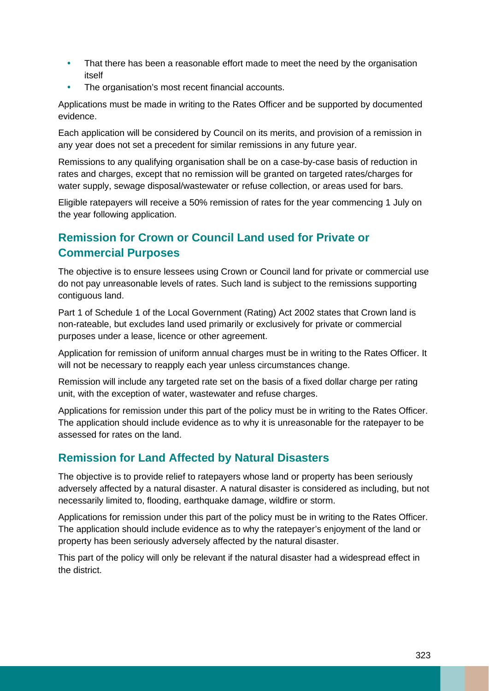- That there has been a reasonable effort made to meet the need by the organisation itself
- The organisation's most recent financial accounts.

Applications must be made in writing to the Rates Officer and be supported by documented evidence.

Each application will be considered by Council on its merits, and provision of a remission in any year does not set a precedent for similar remissions in any future year.

Remissions to any qualifying organisation shall be on a case-by-case basis of reduction in rates and charges, except that no remission will be granted on targeted rates/charges for water supply, sewage disposal/wastewater or refuse collection, or areas used for bars.

Eligible ratepayers will receive a 50% remission of rates for the year commencing 1 July on the year following application.

# **Remission for Crown or Council Land used for Private or Commercial Purposes**

The objective is to ensure lessees using Crown or Council land for private or commercial use do not pay unreasonable levels of rates. Such land is subject to the remissions supporting contiguous land.

Part 1 of Schedule 1 of the Local Government (Rating) Act 2002 states that Crown land is non-rateable, but excludes land used primarily or exclusively for private or commercial purposes under a lease, licence or other agreement.

Application for remission of uniform annual charges must be in writing to the Rates Officer. It will not be necessary to reapply each year unless circumstances change.

Remission will include any targeted rate set on the basis of a fixed dollar charge per rating unit, with the exception of water, wastewater and refuse charges.

Applications for remission under this part of the policy must be in writing to the Rates Officer. The application should include evidence as to why it is unreasonable for the ratepayer to be assessed for rates on the land.

### **Remission for Land Affected by Natural Disasters**

The objective is to provide relief to ratepayers whose land or property has been seriously adversely affected by a natural disaster. A natural disaster is considered as including, but not necessarily limited to, flooding, earthquake damage, wildfire or storm.

Applications for remission under this part of the policy must be in writing to the Rates Officer. The application should include evidence as to why the ratepayer's enjoyment of the land or property has been seriously adversely affected by the natural disaster.

This part of the policy will only be relevant if the natural disaster had a widespread effect in the district.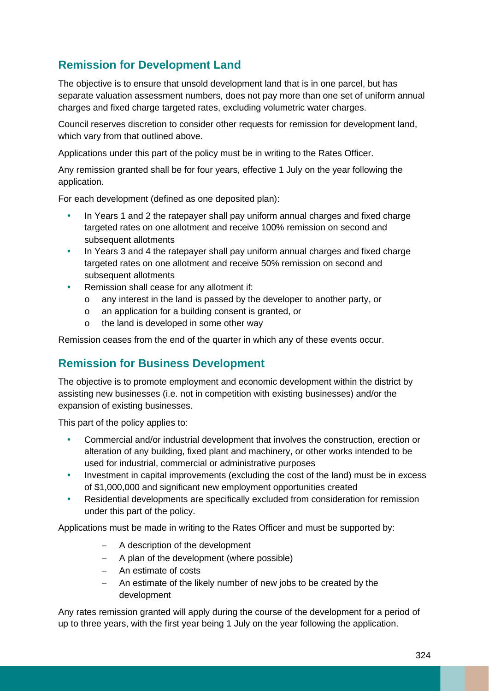### **Remission for Development Land**

The objective is to ensure that unsold development land that is in one parcel, but has separate valuation assessment numbers, does not pay more than one set of uniform annual charges and fixed charge targeted rates, excluding volumetric water charges.

Council reserves discretion to consider other requests for remission for development land, which vary from that outlined above.

Applications under this part of the policy must be in writing to the Rates Officer.

Any remission granted shall be for four years, effective 1 July on the year following the application.

For each development (defined as one deposited plan):

- In Years 1 and 2 the ratepayer shall pay uniform annual charges and fixed charge targeted rates on one allotment and receive 100% remission on second and subsequent allotments
- In Years 3 and 4 the ratepayer shall pay uniform annual charges and fixed charge targeted rates on one allotment and receive 50% remission on second and subsequent allotments
- Remission shall cease for any allotment if:
	- o any interest in the land is passed by the developer to another party, or
	- o an application for a building consent is granted, or
	- o the land is developed in some other way

Remission ceases from the end of the quarter in which any of these events occur.

### **Remission for Business Development**

The objective is to promote employment and economic development within the district by assisting new businesses (i.e. not in competition with existing businesses) and/or the expansion of existing businesses.

This part of the policy applies to:

- Commercial and/or industrial development that involves the construction, erection or alteration of any building, fixed plant and machinery, or other works intended to be used for industrial, commercial or administrative purposes
- Investment in capital improvements (excluding the cost of the land) must be in excess of \$1,000,000 and significant new employment opportunities created
- Residential developments are specifically excluded from consideration for remission under this part of the policy.

Applications must be made in writing to the Rates Officer and must be supported by:

- − A description of the development
- − A plan of the development (where possible)
- − An estimate of costs
- − An estimate of the likely number of new jobs to be created by the development

Any rates remission granted will apply during the course of the development for a period of up to three years, with the first year being 1 July on the year following the application.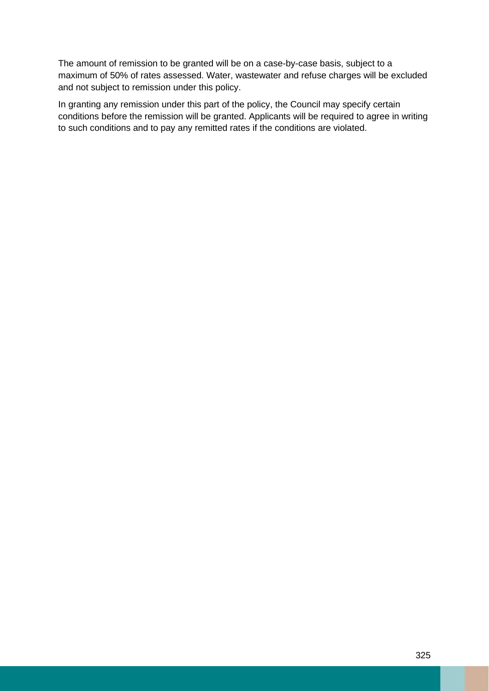The amount of remission to be granted will be on a case-by-case basis, subject to a maximum of 50% of rates assessed. Water, wastewater and refuse charges will be excluded and not subject to remission under this policy.

In granting any remission under this part of the policy, the Council may specify certain conditions before the remission will be granted. Applicants will be required to agree in writing to such conditions and to pay any remitted rates if the conditions are violated.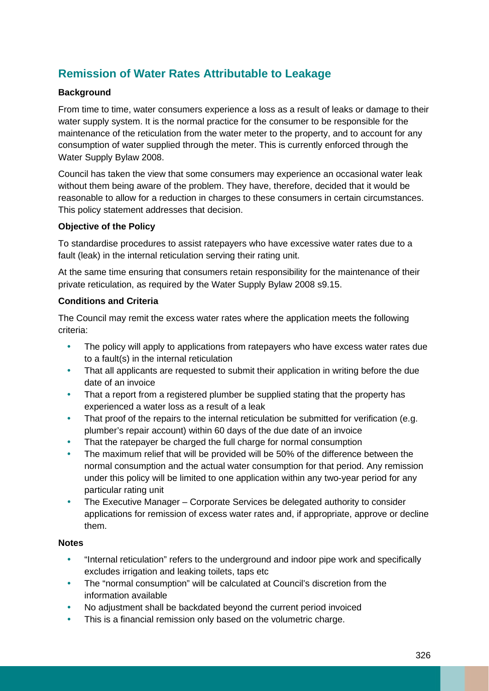### **Remission of Water Rates Attributable to Leakage**

#### **Background**

From time to time, water consumers experience a loss as a result of leaks or damage to their water supply system. It is the normal practice for the consumer to be responsible for the maintenance of the reticulation from the water meter to the property, and to account for any consumption of water supplied through the meter. This is currently enforced through the Water Supply Bylaw 2008.

Council has taken the view that some consumers may experience an occasional water leak without them being aware of the problem. They have, therefore, decided that it would be reasonable to allow for a reduction in charges to these consumers in certain circumstances. This policy statement addresses that decision.

#### **Objective of the Policy**

To standardise procedures to assist ratepayers who have excessive water rates due to a fault (leak) in the internal reticulation serving their rating unit.

At the same time ensuring that consumers retain responsibility for the maintenance of their private reticulation, as required by the Water Supply Bylaw 2008 s9.15.

#### **Conditions and Criteria**

The Council may remit the excess water rates where the application meets the following criteria:

- The policy will apply to applications from ratepayers who have excess water rates due to a fault(s) in the internal reticulation
- That all applicants are requested to submit their application in writing before the due date of an invoice
- That a report from a registered plumber be supplied stating that the property has experienced a water loss as a result of a leak
- That proof of the repairs to the internal reticulation be submitted for verification (e.g. plumber's repair account) within 60 days of the due date of an invoice
- That the ratepayer be charged the full charge for normal consumption
- The maximum relief that will be provided will be 50% of the difference between the normal consumption and the actual water consumption for that period. Any remission under this policy will be limited to one application within any two-year period for any particular rating unit
- The Executive Manager Corporate Services be delegated authority to consider applications for remission of excess water rates and, if appropriate, approve or decline them.

#### **Notes**

- "Internal reticulation" refers to the underground and indoor pipe work and specifically excludes irrigation and leaking toilets, taps etc
- The "normal consumption" will be calculated at Council's discretion from the information available
- No adjustment shall be backdated beyond the current period invoiced
- This is a financial remission only based on the volumetric charge.